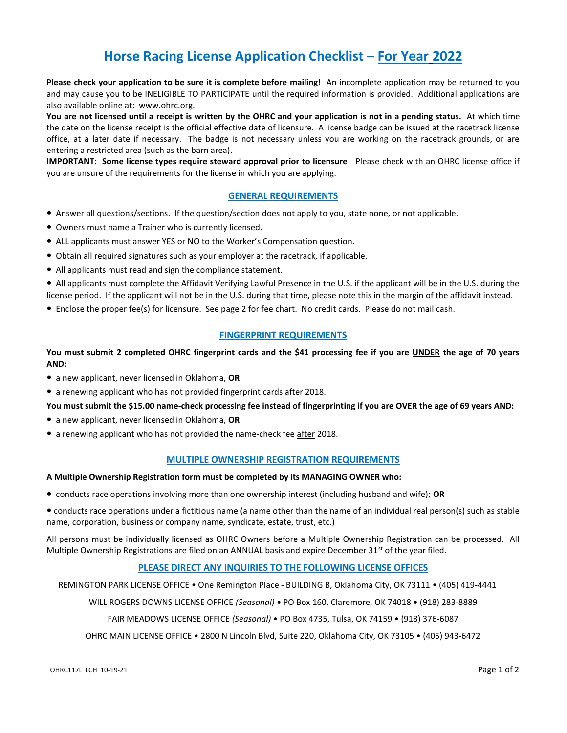## Horse Racing License Application Checklist – For Year 2022

Please check your application to be sure it is complete before mailing! An incomplete application may be returned to you and may cause you to be INELIGIBLE TO PARTICIPATE until the required information is provided. Additional applications are also available online at: www.ohrc.org.

You are not licensed until a receipt is written by the OHRC and your application is not in a pending status. At which time the date on the license receipt is the official effective date of licensure. A license badge can be issued at the racetrack license office, at a later date if necessary. The badge is not necessary unless you are working on the racetrack grounds, or are entering a restricted area (such as the barn area).

IMPORTANT: Some license types require steward approval prior to licensure. Please check with an OHRC license office if you are unsure of the requirements for the license in which you are applying.

### GENERAL REQUIREMENTS

- Answer all questions/sections. If the question/section does not apply to you, state none, or not applicable.
- Owners must name a Trainer who is currently licensed.
- ALL applicants must answer YES or NO to the Worker's Compensation question.
- Obtain all required signatures such as your employer at the racetrack, if applicable.
- All applicants must read and sign the compliance statement.

 All applicants must complete the Affidavit Verifying Lawful Presence in the U.S. if the applicant will be in the U.S. during the license period. If the applicant will not be in the U.S. during that time, please note this in the margin of the affidavit instead.

Enclose the proper fee(s) for licensure. See page 2 for fee chart. No credit cards. Please do not mail cash.

#### FINGERPRINT REQUIREMENTS

#### You must submit 2 completed OHRC fingerprint cards and the \$41 processing fee if you are UNDER the age of 70 years AND:

- a new applicant, never licensed in Oklahoma, OR
- a renewing applicant who has not provided fingerprint cards after 2018.

You must submit the \$15.00 name-check processing fee instead of fingerprinting if you are OVER the age of 69 years AND:

- a new applicant, never licensed in Oklahoma, OR
- a renewing applicant who has not provided the name-check fee after 2018.

#### MULTIPLE OWNERSHIP REGISTRATION REQUIREMENTS

#### A Multiple Ownership Registration form must be completed by its MANAGING OWNER who:

• conducts race operations involving more than one ownership interest (including husband and wife); OR

 conducts race operations under a fictitious name (a name other than the name of an individual real person(s) such as stable name, corporation, business or company name, syndicate, estate, trust, etc.)

All persons must be individually licensed as OHRC Owners before a Multiple Ownership Registration can be processed. All Multiple Ownership Registrations are filed on an ANNUAL basis and expire December  $31^{st}$  of the year filed.

#### PLEASE DIRECT ANY INQUIRIES TO THE FOLLOWING LICENSE OFFICES

REMINGTON PARK LICENSE OFFICE • One Remington Place - BUILDING B, Oklahoma City, OK 73111 • (405) 419-4441

WILL ROGERS DOWNS LICENSE OFFICE (Seasonal) • PO Box 160, Claremore, OK 74018 • (918) 283-8889

FAIR MEADOWS LICENSE OFFICE (Seasonal) • PO Box 4735, Tulsa, OK 74159 • (918) 376-6087

OHRC MAIN LICENSE OFFICE • 2800 N Lincoln Blvd, Suite 220, Oklahoma City, OK 73105 • (405) 943-6472